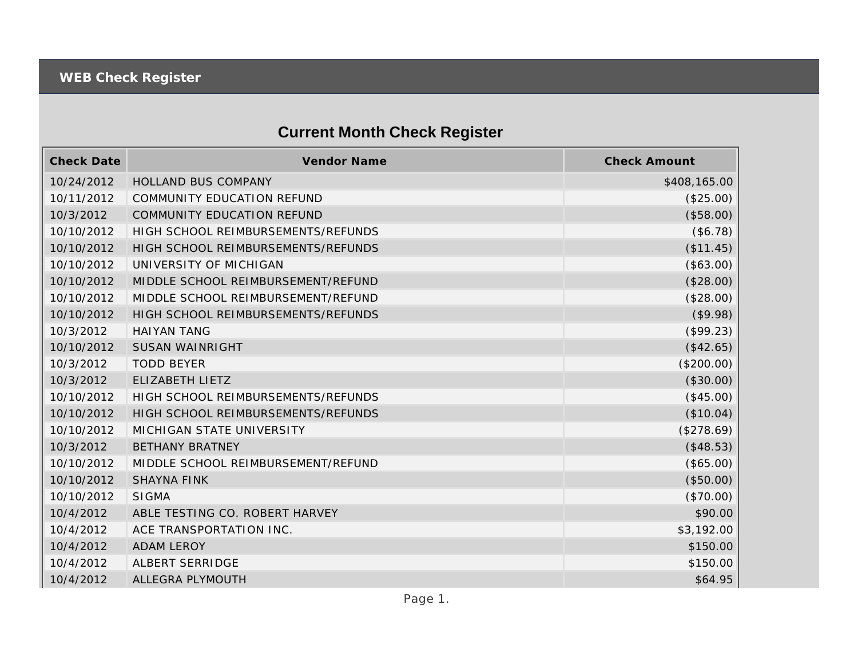## **Current Month Check Register**

| <b>Check Date</b> | Vendor Name                        | <b>Check Amount</b> |
|-------------------|------------------------------------|---------------------|
| 10/24/2012        | <b>HOLLAND BUS COMPANY</b>         | \$408,165.00        |
| 10/11/2012        | COMMUNITY EDUCATION REFUND         | (\$25.00)           |
| 10/3/2012         | COMMUNITY EDUCATION REFUND         | (\$58.00)           |
| 10/10/2012        | HIGH SCHOOL REIMBURSEMENTS/REFUNDS | (\$6.78)            |
| 10/10/2012        | HIGH SCHOOL REIMBURSEMENTS/REFUNDS | (\$11.45)           |
| 10/10/2012        | UNIVERSITY OF MICHIGAN             | (\$63.00)           |
| 10/10/2012        | MIDDLE SCHOOL REIMBURSEMENT/REFUND | (\$28.00)           |
| 10/10/2012        | MIDDLE SCHOOL REIMBURSEMENT/REFUND | (\$28.00)           |
| 10/10/2012        | HIGH SCHOOL REIMBURSEMENTS/REFUNDS | (\$9.98)            |
| 10/3/2012         | <b>HAIYAN TANG</b>                 | (\$99.23)           |
| 10/10/2012        | <b>SUSAN WAINRIGHT</b>             | (\$42.65)           |
| 10/3/2012         | <b>TODD BEYER</b>                  | (\$200.00)          |
| 10/3/2012         | ELIZABETH LIETZ                    | (\$30.00)           |
| 10/10/2012        | HIGH SCHOOL REIMBURSEMENTS/REFUNDS | (\$45.00)           |
| 10/10/2012        | HIGH SCHOOL REIMBURSEMENTS/REFUNDS | (\$10.04)           |
| 10/10/2012        | MICHIGAN STATE UNIVERSITY          | (\$278.69)          |
| 10/3/2012         | <b>BETHANY BRATNEY</b>             | (\$48.53)           |
| 10/10/2012        | MIDDLE SCHOOL REIMBURSEMENT/REFUND | (\$65.00)           |
| 10/10/2012        | <b>SHAYNA FINK</b>                 | (\$50.00)           |
| 10/10/2012        | <b>SIGMA</b>                       | (\$70.00)           |
| 10/4/2012         | ABLE TESTING CO. ROBERT HARVEY     | \$90.00             |
| 10/4/2012         | ACE TRANSPORTATION INC.            | \$3,192.00          |
| 10/4/2012         | <b>ADAM LEROY</b>                  | \$150.00            |
| 10/4/2012         | ALBERT SERRIDGE                    | \$150.00            |
| 10/4/2012         | ALLEGRA PLYMOUTH                   | \$64.95             |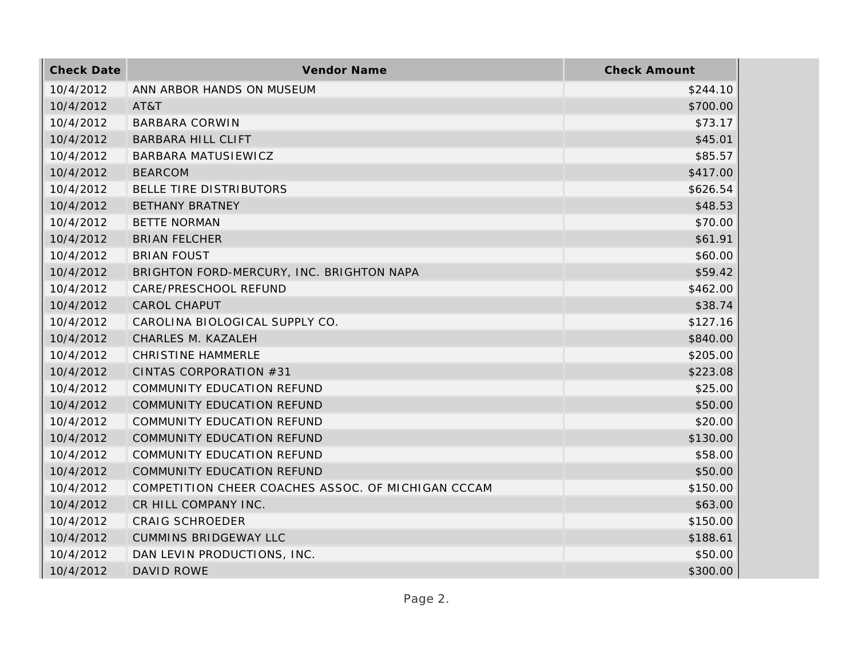| <b>Check Date</b> | Vendor Name                                        | <b>Check Amount</b> |
|-------------------|----------------------------------------------------|---------------------|
| 10/4/2012         | ANN ARBOR HANDS ON MUSEUM                          | \$244.10            |
| 10/4/2012         | AT&T                                               | \$700.00            |
| 10/4/2012         | <b>BARBARA CORWIN</b>                              | \$73.17             |
| 10/4/2012         | <b>BARBARA HILL CLIFT</b>                          | \$45.01             |
| 10/4/2012         | BARBARA MATUSIEWICZ                                | \$85.57             |
| 10/4/2012         | <b>BEARCOM</b>                                     | \$417.00            |
| 10/4/2012         | BELLE TIRE DISTRIBUTORS                            | \$626.54            |
| 10/4/2012         | <b>BETHANY BRATNEY</b>                             | \$48.53             |
| 10/4/2012         | <b>BETTE NORMAN</b>                                | \$70.00             |
| 10/4/2012         | <b>BRIAN FELCHER</b>                               | \$61.91             |
| 10/4/2012         | <b>BRIAN FOUST</b>                                 | \$60.00             |
| 10/4/2012         | BRIGHTON FORD-MERCURY, INC. BRIGHTON NAPA          | \$59.42             |
| 10/4/2012         | CARE/PRESCHOOL REFUND                              | \$462.00            |
| 10/4/2012         | <b>CAROL CHAPUT</b>                                | \$38.74             |
| 10/4/2012         | CAROLINA BIOLOGICAL SUPPLY CO.                     | \$127.16            |
| 10/4/2012         | CHARLES M. KAZALEH                                 | \$840.00            |
| 10/4/2012         | <b>CHRISTINE HAMMERLE</b>                          | \$205.00            |
| 10/4/2012         | CINTAS CORPORATION #31                             | \$223.08            |
| 10/4/2012         | COMMUNITY EDUCATION REFUND                         | \$25.00             |
| 10/4/2012         | COMMUNITY EDUCATION REFUND                         | \$50.00             |
| 10/4/2012         | <b>COMMUNITY EDUCATION REFUND</b>                  | \$20.00             |
| 10/4/2012         | <b>COMMUNITY EDUCATION REFUND</b>                  | \$130.00            |
| 10/4/2012         | COMMUNITY EDUCATION REFUND                         | \$58.00             |
| 10/4/2012         | COMMUNITY EDUCATION REFUND                         | \$50.00             |
| 10/4/2012         | COMPETITION CHEER COACHES ASSOC. OF MICHIGAN CCCAM | \$150.00            |
| 10/4/2012         | CR HILL COMPANY INC.                               | \$63.00             |
| 10/4/2012         | <b>CRAIG SCHROEDER</b>                             | \$150.00            |
| 10/4/2012         | <b>CUMMINS BRIDGEWAY LLC</b>                       | \$188.61            |
| 10/4/2012         | DAN LEVIN PRODUCTIONS, INC.                        | \$50.00             |
| 10/4/2012         | DAVID ROWE                                         | \$300.00            |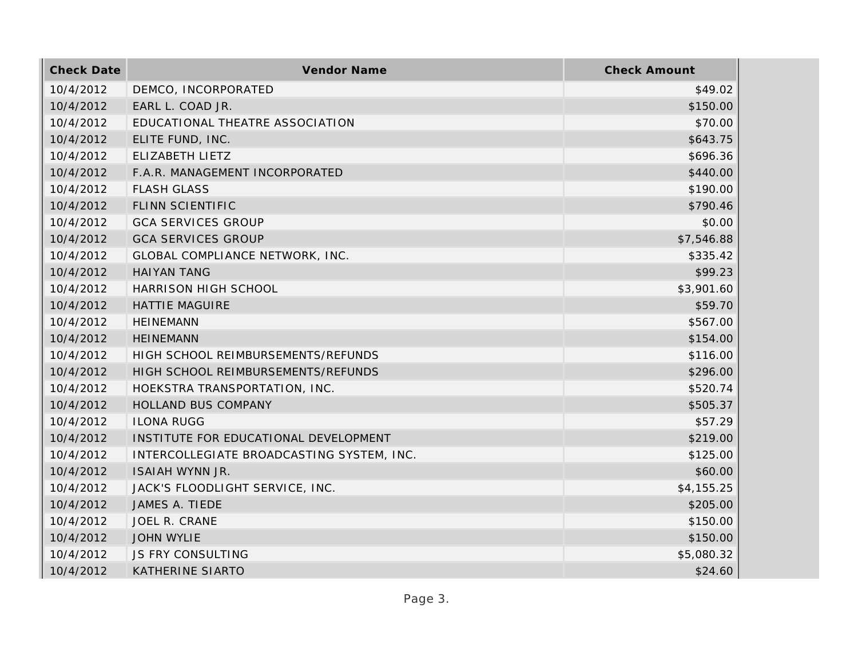| <b>Check Date</b> | Vendor Name                               | <b>Check Amount</b> |
|-------------------|-------------------------------------------|---------------------|
| 10/4/2012         | DEMCO, INCORPORATED                       | \$49.02             |
| 10/4/2012         | EARL L. COAD JR.                          | \$150.00            |
| 10/4/2012         | EDUCATIONAL THEATRE ASSOCIATION           | \$70.00             |
| 10/4/2012         | ELITE FUND, INC.                          | \$643.75            |
| 10/4/2012         | ELIZABETH LIETZ                           | \$696.36            |
| 10/4/2012         | F.A.R. MANAGEMENT INCORPORATED            | \$440.00            |
| 10/4/2012         | <b>FLASH GLASS</b>                        | \$190.00            |
| 10/4/2012         | FLINN SCIENTIFIC                          | \$790.46            |
| 10/4/2012         | <b>GCA SERVICES GROUP</b>                 | \$0.00              |
| 10/4/2012         | <b>GCA SERVICES GROUP</b>                 | \$7,546.88          |
| 10/4/2012         | GLOBAL COMPLIANCE NETWORK, INC.           | \$335.42            |
| 10/4/2012         | <b>HAIYAN TANG</b>                        | \$99.23             |
| 10/4/2012         | HARRISON HIGH SCHOOL                      | \$3,901.60          |
| 10/4/2012         | <b>HATTIE MAGUIRE</b>                     | \$59.70             |
| 10/4/2012         | <b>HEINEMANN</b>                          | \$567.00            |
| 10/4/2012         | <b>HEINEMANN</b>                          | \$154.00            |
| 10/4/2012         | HIGH SCHOOL REIMBURSEMENTS/REFUNDS        | \$116.00            |
| 10/4/2012         | HIGH SCHOOL REIMBURSEMENTS/REFUNDS        | \$296.00            |
| 10/4/2012         | HOEKSTRA TRANSPORTATION, INC.             | \$520.74            |
| 10/4/2012         | HOLLAND BUS COMPANY                       | \$505.37            |
| 10/4/2012         | <b>ILONA RUGG</b>                         | \$57.29             |
| 10/4/2012         | INSTITUTE FOR EDUCATIONAL DEVELOPMENT     | \$219.00            |
| 10/4/2012         | INTERCOLLEGIATE BROADCASTING SYSTEM, INC. | \$125.00            |
| 10/4/2012         | ISAIAH WYNN JR.                           | \$60.00             |
| 10/4/2012         | JACK'S FLOODLIGHT SERVICE, INC.           | \$4,155.25          |
| 10/4/2012         | JAMES A. TIEDE                            | \$205.00            |
| 10/4/2012         | JOEL R. CRANE                             | \$150.00            |
| 10/4/2012         | <b>JOHN WYLIE</b>                         | \$150.00            |
| 10/4/2012         | JS FRY CONSULTING                         | \$5,080.32          |
| 10/4/2012         | <b>KATHERINE SIARTO</b>                   | \$24.60             |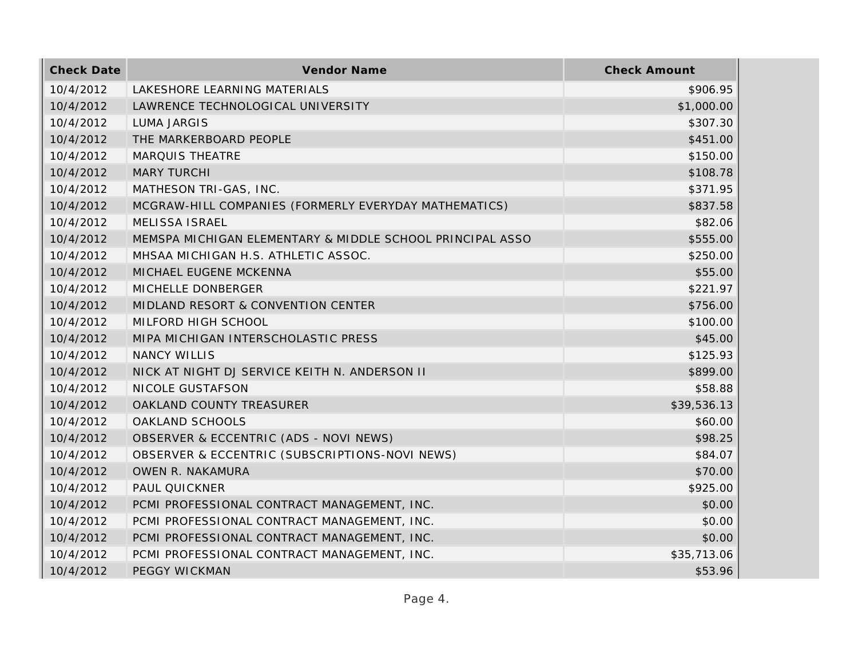| <b>Check Date</b> | Vendor Name                                               | <b>Check Amount</b> |
|-------------------|-----------------------------------------------------------|---------------------|
| 10/4/2012         | LAKESHORE LEARNING MATERIALS                              | \$906.95            |
| 10/4/2012         | LAWRENCE TECHNOLOGICAL UNIVERSITY                         | \$1,000.00          |
| 10/4/2012         | <b>LUMA JARGIS</b>                                        | \$307.30            |
| 10/4/2012         | THE MARKERBOARD PEOPLE                                    | \$451.00            |
| 10/4/2012         | <b>MARQUIS THEATRE</b>                                    | \$150.00            |
| 10/4/2012         | <b>MARY TURCHI</b>                                        | \$108.78            |
| 10/4/2012         | MATHESON TRI-GAS, INC.                                    | \$371.95            |
| 10/4/2012         | MCGRAW-HILL COMPANIES (FORMERLY EVERYDAY MATHEMATICS)     | \$837.58            |
| 10/4/2012         | MELISSA ISRAEL                                            | \$82.06             |
| 10/4/2012         | MEMSPA MICHIGAN ELEMENTARY & MIDDLE SCHOOL PRINCIPAL ASSO | \$555.00            |
| 10/4/2012         | MHSAA MICHIGAN H.S. ATHLETIC ASSOC.                       | \$250.00            |
| 10/4/2012         | MICHAEL EUGENE MCKENNA                                    | \$55.00             |
| 10/4/2012         | MICHELLE DONBERGER                                        | \$221.97            |
| 10/4/2012         | MIDLAND RESORT & CONVENTION CENTER                        | \$756.00            |
| 10/4/2012         | MILFORD HIGH SCHOOL                                       | \$100.00            |
| 10/4/2012         | MIPA MICHIGAN INTERSCHOLASTIC PRESS                       | \$45.00             |
| 10/4/2012         | <b>NANCY WILLIS</b>                                       | \$125.93            |
| 10/4/2012         | NICK AT NIGHT DJ SERVICE KEITH N. ANDERSON II             | \$899.00            |
| 10/4/2012         | NICOLE GUSTAFSON                                          | \$58.88             |
| 10/4/2012         | OAKLAND COUNTY TREASURER                                  | \$39,536.13         |
| 10/4/2012         | OAKLAND SCHOOLS                                           | \$60.00             |
| 10/4/2012         | OBSERVER & ECCENTRIC (ADS - NOVI NEWS)                    | \$98.25             |
| 10/4/2012         | OBSERVER & ECCENTRIC (SUBSCRIPTIONS-NOVI NEWS)            | \$84.07             |
| 10/4/2012         | OWEN R. NAKAMURA                                          | \$70.00             |
| 10/4/2012         | PAUL QUICKNER                                             | \$925.00            |
| 10/4/2012         | PCMI PROFESSIONAL CONTRACT MANAGEMENT, INC.               | \$0.00              |
| 10/4/2012         | PCMI PROFESSIONAL CONTRACT MANAGEMENT, INC.               | \$0.00              |
| 10/4/2012         | PCMI PROFESSIONAL CONTRACT MANAGEMENT, INC.               | \$0.00              |
| 10/4/2012         | PCMI PROFESSIONAL CONTRACT MANAGEMENT, INC.               | \$35,713.06         |
| 10/4/2012         | <b>PEGGY WICKMAN</b>                                      | \$53.96             |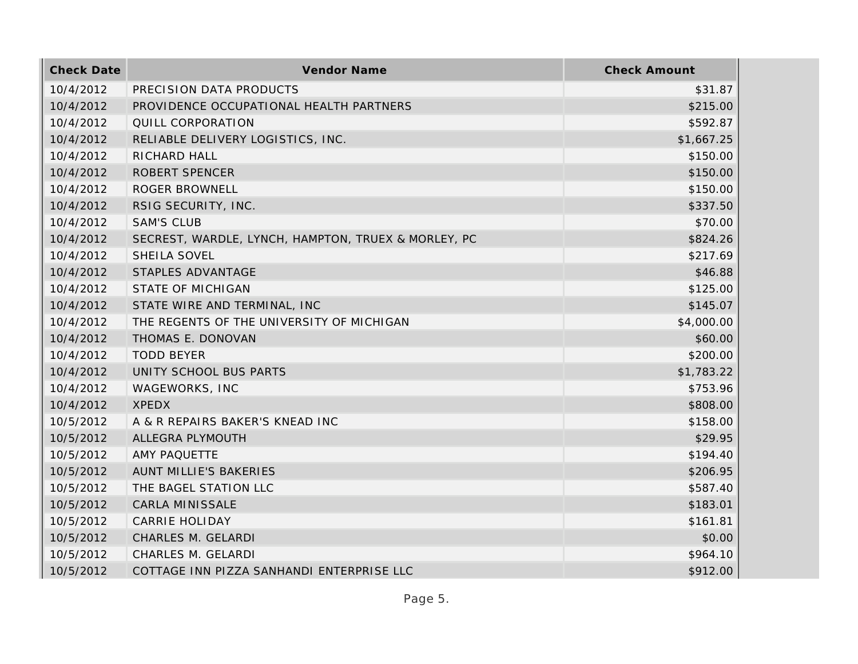| <b>Check Date</b> | Vendor Name                                         | <b>Check Amount</b> |
|-------------------|-----------------------------------------------------|---------------------|
| 10/4/2012         | PRECISION DATA PRODUCTS                             | \$31.87             |
| 10/4/2012         | PROVIDENCE OCCUPATIONAL HEALTH PARTNERS             | \$215.00            |
| 10/4/2012         | QUILL CORPORATION                                   | \$592.87            |
| 10/4/2012         | RELIABLE DELIVERY LOGISTICS, INC.                   | \$1,667.25          |
| 10/4/2012         | RICHARD HALL                                        | \$150.00            |
| 10/4/2012         | ROBERT SPENCER                                      | \$150.00            |
| 10/4/2012         | <b>ROGER BROWNELL</b>                               | \$150.00            |
| 10/4/2012         | RSIG SECURITY, INC.                                 | \$337.50            |
| 10/4/2012         | <b>SAM'S CLUB</b>                                   | \$70.00             |
| 10/4/2012         | SECREST, WARDLE, LYNCH, HAMPTON, TRUEX & MORLEY, PC | \$824.26            |
| 10/4/2012         | SHEILA SOVEL                                        | \$217.69            |
| 10/4/2012         | STAPLES ADVANTAGE                                   | \$46.88             |
| 10/4/2012         | <b>STATE OF MICHIGAN</b>                            | \$125.00            |
| 10/4/2012         | STATE WIRE AND TERMINAL, INC                        | \$145.07            |
| 10/4/2012         | THE REGENTS OF THE UNIVERSITY OF MICHIGAN           | \$4,000.00          |
| 10/4/2012         | THOMAS E. DONOVAN                                   | \$60.00             |
| 10/4/2012         | <b>TODD BEYER</b>                                   | \$200.00            |
| 10/4/2012         | UNITY SCHOOL BUS PARTS                              | \$1,783.22          |
| 10/4/2012         | WAGEWORKS, INC                                      | \$753.96            |
| 10/4/2012         | <b>XPEDX</b>                                        | \$808.00            |
| 10/5/2012         | A & R REPAIRS BAKER'S KNEAD INC                     | \$158.00            |
| 10/5/2012         | ALLEGRA PLYMOUTH                                    | \$29.95             |
| 10/5/2012         | AMY PAQUETTE                                        | \$194.40            |
| 10/5/2012         | AUNT MILLIE'S BAKERIES                              | \$206.95            |
| 10/5/2012         | THE BAGEL STATION LLC                               | \$587.40            |
| 10/5/2012         | CARLA MINISSALE                                     | \$183.01            |
| 10/5/2012         | <b>CARRIE HOLIDAY</b>                               | \$161.81            |
| 10/5/2012         | CHARLES M. GELARDI                                  | \$0.00              |
| 10/5/2012         | CHARLES M. GELARDI                                  | \$964.10            |
| 10/5/2012         | COTTAGE INN PIZZA SANHANDI ENTERPRISE LLC           | \$912.00            |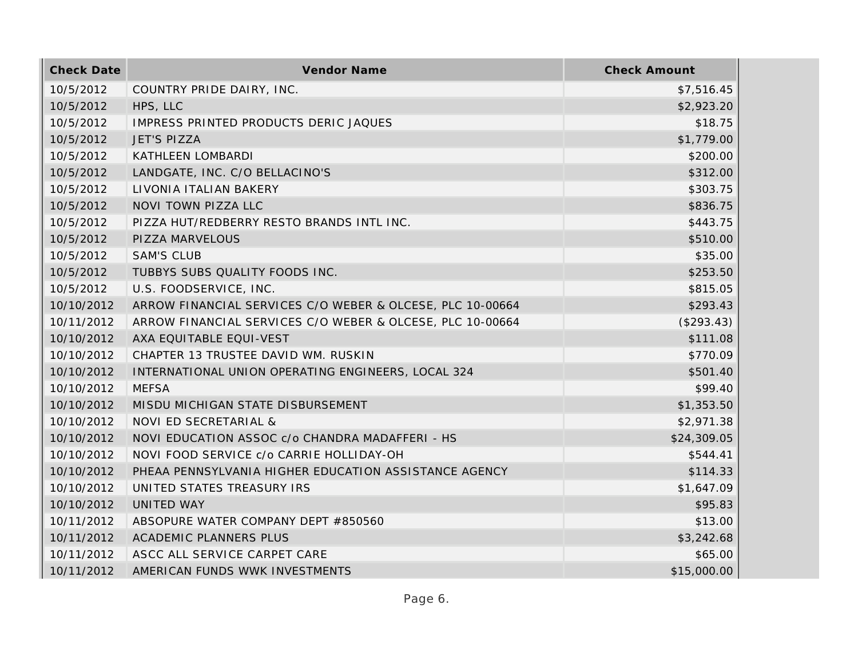| <b>Check Date</b> | Vendor Name                                               | <b>Check Amount</b> |
|-------------------|-----------------------------------------------------------|---------------------|
| 10/5/2012         | COUNTRY PRIDE DAIRY, INC.                                 | \$7,516.45          |
| 10/5/2012         | HPS, LLC                                                  | \$2,923.20          |
| 10/5/2012         | IMPRESS PRINTED PRODUCTS DERIC JAQUES                     | \$18.75             |
| 10/5/2012         | <b>JET'S PIZZA</b>                                        | \$1,779.00          |
| 10/5/2012         | KATHLEEN LOMBARDI                                         | \$200.00            |
| 10/5/2012         | LANDGATE, INC. C/O BELLACINO'S                            | \$312.00            |
| 10/5/2012         | LIVONIA ITALIAN BAKERY                                    | \$303.75            |
| 10/5/2012         | NOVI TOWN PIZZA LLC                                       | \$836.75            |
| 10/5/2012         | PIZZA HUT/REDBERRY RESTO BRANDS INTL INC.                 | \$443.75            |
| 10/5/2012         | PIZZA MARVELOUS                                           | \$510.00            |
| 10/5/2012         | <b>SAM'S CLUB</b>                                         | \$35.00             |
| 10/5/2012         | TUBBYS SUBS QUALITY FOODS INC.                            | \$253.50            |
| 10/5/2012         | U.S. FOODSERVICE, INC.                                    | \$815.05            |
| 10/10/2012        | ARROW FINANCIAL SERVICES C/O WEBER & OLCESE, PLC 10-00664 | \$293.43            |
| 10/11/2012        | ARROW FINANCIAL SERVICES C/O WEBER & OLCESE, PLC 10-00664 | (\$293.43)          |
| 10/10/2012        | AXA EQUITABLE EQUI-VEST                                   | \$111.08            |
| 10/10/2012        | CHAPTER 13 TRUSTEE DAVID WM. RUSKIN                       | \$770.09            |
| 10/10/2012        | INTERNATIONAL UNION OPERATING ENGINEERS, LOCAL 324        | \$501.40            |
| 10/10/2012        | <b>MEFSA</b>                                              | \$99.40             |
| 10/10/2012        | MISDU MICHIGAN STATE DISBURSEMENT                         | \$1,353.50          |
| 10/10/2012        | NOVI ED SECRETARIAL &                                     | \$2,971.38          |
| 10/10/2012        | NOVI EDUCATION ASSOC c/o CHANDRA MADAFFERI - HS           | \$24,309.05         |
| 10/10/2012        | NOVI FOOD SERVICE c/o CARRIE HOLLIDAY-OH                  | \$544.41            |
| 10/10/2012        | PHEAA PENNSYLVANIA HIGHER EDUCATION ASSISTANCE AGENCY     | \$114.33            |
| 10/10/2012        | UNITED STATES TREASURY IRS                                | \$1,647.09          |
| 10/10/2012        | UNITED WAY                                                | \$95.83             |
| 10/11/2012        | ABSOPURE WATER COMPANY DEPT #850560                       | \$13.00             |
| 10/11/2012        | ACADEMIC PLANNERS PLUS                                    | \$3,242.68          |
| 10/11/2012        | ASCC ALL SERVICE CARPET CARE                              | \$65.00             |
| 10/11/2012        | AMERICAN FUNDS WWK INVESTMENTS                            | \$15,000.00         |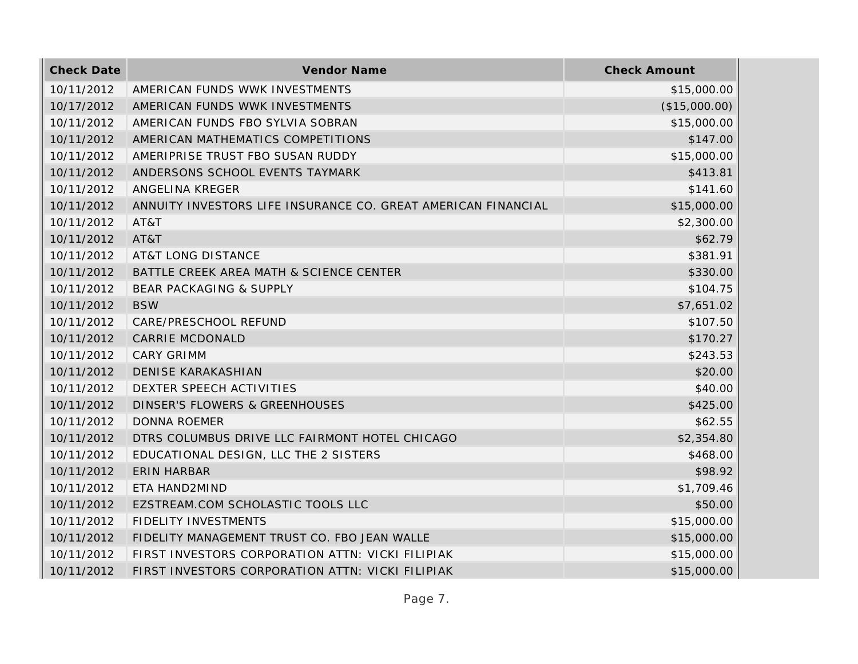| <b>Check Date</b> | Vendor Name                                                   | <b>Check Amount</b> |
|-------------------|---------------------------------------------------------------|---------------------|
| 10/11/2012        | AMERICAN FUNDS WWK INVESTMENTS                                | \$15,000.00         |
| 10/17/2012        | AMERICAN FUNDS WWK INVESTMENTS                                | (\$15,000.00)       |
| 10/11/2012        | AMERICAN FUNDS FBO SYLVIA SOBRAN                              | \$15,000.00         |
| 10/11/2012        | AMERICAN MATHEMATICS COMPETITIONS                             | \$147.00            |
| 10/11/2012        | AMERIPRISE TRUST FBO SUSAN RUDDY                              | \$15,000.00         |
| 10/11/2012        | ANDERSONS SCHOOL EVENTS TAYMARK                               | \$413.81            |
| 10/11/2012        | ANGELINA KREGER                                               | \$141.60            |
| 10/11/2012        | ANNUITY INVESTORS LIFE INSURANCE CO. GREAT AMERICAN FINANCIAL | \$15,000.00         |
| 10/11/2012        | AT&T                                                          | \$2,300.00          |
| 10/11/2012        | AT&T                                                          | \$62.79             |
| 10/11/2012        | <b>AT&amp;T LONG DISTANCE</b>                                 | \$381.91            |
| 10/11/2012        | BATTLE CREEK AREA MATH & SCIENCE CENTER                       | \$330.00            |
| 10/11/2012        | <b>BEAR PACKAGING &amp; SUPPLY</b>                            | \$104.75            |
| 10/11/2012        | <b>BSW</b>                                                    | \$7,651.02          |
| 10/11/2012        | CARE/PRESCHOOL REFUND                                         | \$107.50            |
| 10/11/2012        | <b>CARRIE MCDONALD</b>                                        | \$170.27            |
| 10/11/2012        | <b>CARY GRIMM</b>                                             | \$243.53            |
| 10/11/2012        | <b>DENISE KARAKASHIAN</b>                                     | \$20.00             |
| 10/11/2012        | DEXTER SPEECH ACTIVITIES                                      | \$40.00             |
| 10/11/2012        | <b>DINSER'S FLOWERS &amp; GREENHOUSES</b>                     | \$425.00            |
| 10/11/2012        | <b>DONNA ROEMER</b>                                           | \$62.55             |
| 10/11/2012        | DTRS COLUMBUS DRIVE LLC FAIRMONT HOTEL CHICAGO                | \$2,354.80          |
| 10/11/2012        | EDUCATIONAL DESIGN, LLC THE 2 SISTERS                         | \$468.00            |
| 10/11/2012        | <b>ERIN HARBAR</b>                                            | \$98.92             |
| 10/11/2012        | ETA HAND2MIND                                                 | \$1,709.46          |
| 10/11/2012        | EZSTREAM.COM SCHOLASTIC TOOLS LLC                             | \$50.00             |
| 10/11/2012        | <b>FIDELITY INVESTMENTS</b>                                   | \$15,000.00         |
| 10/11/2012        | FIDELITY MANAGEMENT TRUST CO. FBO JEAN WALLE                  | \$15,000.00         |
| 10/11/2012        | FIRST INVESTORS CORPORATION ATTN: VICKI FILIPIAK              | \$15,000.00         |
| 10/11/2012        | FIRST INVESTORS CORPORATION ATTN: VICKI FILIPIAK              | \$15,000.00         |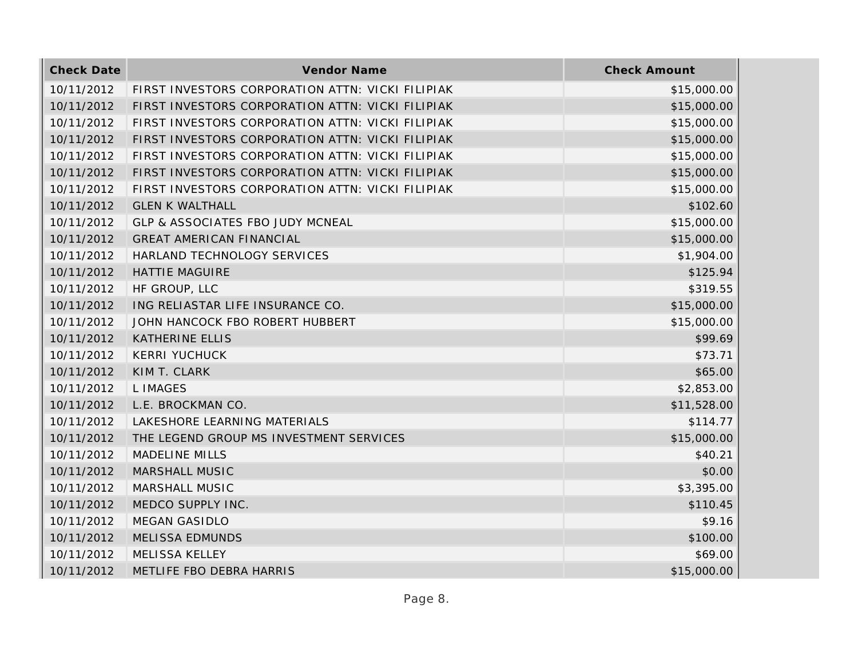| <b>Check Date</b> | Vendor Name                                      | <b>Check Amount</b> |
|-------------------|--------------------------------------------------|---------------------|
| 10/11/2012        | FIRST INVESTORS CORPORATION ATTN: VICKI FILIPIAK | \$15,000.00         |
| 10/11/2012        | FIRST INVESTORS CORPORATION ATTN: VICKI FILIPIAK | \$15,000.00         |
| 10/11/2012        | FIRST INVESTORS CORPORATION ATTN: VICKI FILIPIAK | \$15,000.00         |
| 10/11/2012        | FIRST INVESTORS CORPORATION ATTN: VICKI FILIPIAK | \$15,000.00         |
| 10/11/2012        | FIRST INVESTORS CORPORATION ATTN: VICKI FILIPIAK | \$15,000.00         |
| 10/11/2012        | FIRST INVESTORS CORPORATION ATTN: VICKI FILIPIAK | \$15,000.00         |
| 10/11/2012        | FIRST INVESTORS CORPORATION ATTN: VICKI FILIPIAK | \$15,000.00         |
| 10/11/2012        | <b>GLEN K WALTHALL</b>                           | \$102.60            |
| 10/11/2012        | <b>GLP &amp; ASSOCIATES FBO JUDY MCNEAL</b>      | \$15,000.00         |
| 10/11/2012        | <b>GREAT AMERICAN FINANCIAL</b>                  | \$15,000.00         |
| 10/11/2012        | HARLAND TECHNOLOGY SERVICES                      | \$1,904.00          |
| 10/11/2012        | <b>HATTIE MAGUIRE</b>                            | \$125.94            |
| 10/11/2012        | HF GROUP, LLC                                    | \$319.55            |
| 10/11/2012        | ING RELIASTAR LIFE INSURANCE CO.                 | \$15,000.00         |
| 10/11/2012        | JOHN HANCOCK FBO ROBERT HUBBERT                  | \$15,000.00         |
| 10/11/2012        | <b>KATHERINE ELLIS</b>                           | \$99.69             |
| 10/11/2012        | <b>KERRI YUCHUCK</b>                             | \$73.71             |
| 10/11/2012        | KIM T. CLARK                                     | \$65.00             |
| 10/11/2012        | L IMAGES                                         | \$2,853.00          |
| 10/11/2012        | L.E. BROCKMAN CO.                                | \$11,528.00         |
| 10/11/2012        | LAKESHORE LEARNING MATERIALS                     | \$114.77            |
| 10/11/2012        | THE LEGEND GROUP MS INVESTMENT SERVICES          | \$15,000.00         |
| 10/11/2012        | <b>MADELINE MILLS</b>                            | \$40.21             |
| 10/11/2012        | MARSHALL MUSIC                                   | \$0.00              |
| 10/11/2012        | MARSHALL MUSIC                                   | \$3,395.00          |
| 10/11/2012        | MEDCO SUPPLY INC.                                | \$110.45            |
| 10/11/2012        | <b>MEGAN GASIDLO</b>                             | \$9.16              |
| 10/11/2012        | <b>MELISSA EDMUNDS</b>                           | \$100.00            |
| 10/11/2012        | MELISSA KELLEY                                   | \$69.00             |
| 10/11/2012        | METLIFE FBO DEBRA HARRIS                         | \$15,000.00         |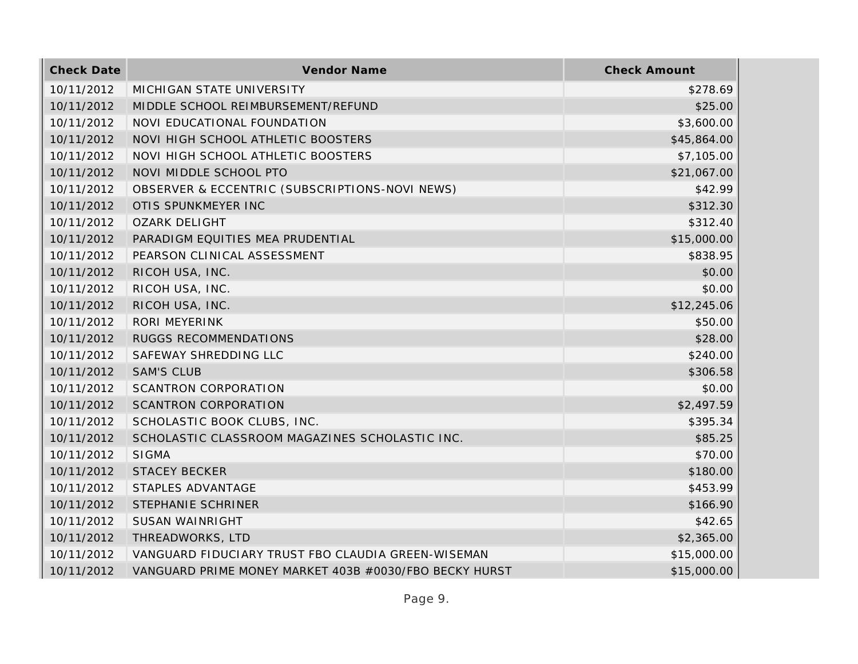| <b>Check Date</b> | Vendor Name                                            | <b>Check Amount</b> |
|-------------------|--------------------------------------------------------|---------------------|
| 10/11/2012        | MICHIGAN STATE UNIVERSITY                              | \$278.69            |
| 10/11/2012        | MIDDLE SCHOOL REIMBURSEMENT/REFUND                     | \$25.00             |
| 10/11/2012        | NOVI EDUCATIONAL FOUNDATION                            | \$3,600.00          |
| 10/11/2012        | NOVI HIGH SCHOOL ATHLETIC BOOSTERS                     | \$45,864.00         |
| 10/11/2012        | NOVI HIGH SCHOOL ATHLETIC BOOSTERS                     | \$7,105.00          |
| 10/11/2012        | NOVI MIDDLE SCHOOL PTO                                 | \$21,067.00         |
| 10/11/2012        | OBSERVER & ECCENTRIC (SUBSCRIPTIONS-NOVI NEWS)         | \$42.99             |
| 10/11/2012        | OTIS SPUNKMEYER INC                                    | \$312.30            |
| 10/11/2012        | <b>OZARK DELIGHT</b>                                   | \$312.40            |
| 10/11/2012        | PARADIGM EQUITIES MEA PRUDENTIAL                       | \$15,000.00         |
| 10/11/2012        | PEARSON CLINICAL ASSESSMENT                            | \$838.95            |
| 10/11/2012        | RICOH USA, INC.                                        | \$0.00              |
| 10/11/2012        | RICOH USA, INC.                                        | \$0.00              |
| 10/11/2012        | RICOH USA, INC.                                        | \$12,245.06         |
| 10/11/2012        | RORI MEYERINK                                          | \$50.00             |
| 10/11/2012        | RUGGS RECOMMENDATIONS                                  | \$28.00             |
| 10/11/2012        | SAFEWAY SHREDDING LLC                                  | \$240.00            |
| 10/11/2012        | <b>SAM'S CLUB</b>                                      | \$306.58            |
| 10/11/2012        | SCANTRON CORPORATION                                   | \$0.00              |
| 10/11/2012        | <b>SCANTRON CORPORATION</b>                            | \$2,497.59          |
| 10/11/2012        | SCHOLASTIC BOOK CLUBS, INC.                            | \$395.34            |
| 10/11/2012        | SCHOLASTIC CLASSROOM MAGAZINES SCHOLASTIC INC.         | \$85.25             |
| 10/11/2012        | <b>SIGMA</b>                                           | \$70.00             |
| 10/11/2012        | <b>STACEY BECKER</b>                                   | \$180.00            |
| 10/11/2012        | STAPLES ADVANTAGE                                      | \$453.99            |
| 10/11/2012        | STEPHANIE SCHRINER                                     | \$166.90            |
| 10/11/2012        | SUSAN WAINRIGHT                                        | \$42.65             |
| 10/11/2012        | THREADWORKS, LTD                                       | \$2,365.00          |
| 10/11/2012        | VANGUARD FIDUCIARY TRUST FBO CLAUDIA GREEN-WISEMAN     | \$15,000.00         |
| 10/11/2012        | VANGUARD PRIME MONEY MARKET 403B #0030/FBO BECKY HURST | \$15,000.00         |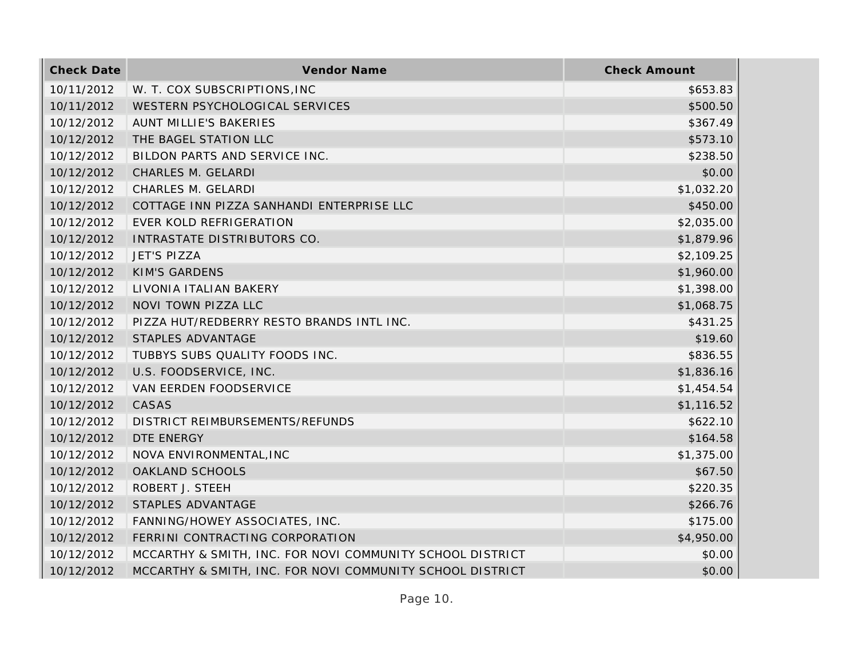| <b>Check Date</b> | Vendor Name                                               | <b>Check Amount</b> |
|-------------------|-----------------------------------------------------------|---------------------|
| 10/11/2012        | W. T. COX SUBSCRIPTIONS, INC                              | \$653.83            |
| 10/11/2012        | WESTERN PSYCHOLOGICAL SERVICES                            | \$500.50            |
| 10/12/2012        | <b>AUNT MILLIE'S BAKERIES</b>                             | \$367.49            |
| 10/12/2012        | THE BAGEL STATION LLC                                     | \$573.10            |
| 10/12/2012        | BILDON PARTS AND SERVICE INC.                             | \$238.50            |
| 10/12/2012        | CHARLES M. GELARDI                                        | \$0.00              |
| 10/12/2012        | CHARLES M. GELARDI                                        | \$1,032.20          |
| 10/12/2012        | COTTAGE INN PIZZA SANHANDI ENTERPRISE LLC                 | \$450.00            |
| 10/12/2012        | EVER KOLD REFRIGERATION                                   | \$2,035.00          |
| 10/12/2012        | INTRASTATE DISTRIBUTORS CO.                               | \$1,879.96          |
| 10/12/2012        | <b>JET'S PIZZA</b>                                        | \$2,109.25          |
| 10/12/2012        | <b>KIM'S GARDENS</b>                                      | \$1,960.00          |
| 10/12/2012        | LIVONIA ITALIAN BAKERY                                    | \$1,398.00          |
| 10/12/2012        | NOVI TOWN PIZZA LLC                                       | \$1,068.75          |
| 10/12/2012        | PIZZA HUT/REDBERRY RESTO BRANDS INTL INC.                 | \$431.25            |
| 10/12/2012        | STAPLES ADVANTAGE                                         | \$19.60             |
| 10/12/2012        | TUBBYS SUBS QUALITY FOODS INC.                            | \$836.55            |
| 10/12/2012        | U.S. FOODSERVICE, INC.                                    | \$1,836.16          |
| 10/12/2012        | VAN EERDEN FOODSERVICE                                    | \$1,454.54          |
| 10/12/2012        | CASAS                                                     | \$1,116.52          |
| 10/12/2012        | DISTRICT REIMBURSEMENTS/REFUNDS                           | \$622.10            |
| 10/12/2012        | DTE ENERGY                                                | \$164.58            |
| 10/12/2012        | NOVA ENVIRONMENTAL, INC                                   | \$1,375.00          |
| 10/12/2012        | OAKLAND SCHOOLS                                           | \$67.50             |
| 10/12/2012        | ROBERT J. STEEH                                           | \$220.35            |
| 10/12/2012        | STAPLES ADVANTAGE                                         | \$266.76            |
| 10/12/2012        | FANNING/HOWEY ASSOCIATES, INC.                            | \$175.00            |
| 10/12/2012        | FERRINI CONTRACTING CORPORATION                           | \$4,950.00          |
| 10/12/2012        | MCCARTHY & SMITH, INC. FOR NOVI COMMUNITY SCHOOL DISTRICT | \$0.00              |
| 10/12/2012        | MCCARTHY & SMITH, INC. FOR NOVI COMMUNITY SCHOOL DISTRICT | \$0.00              |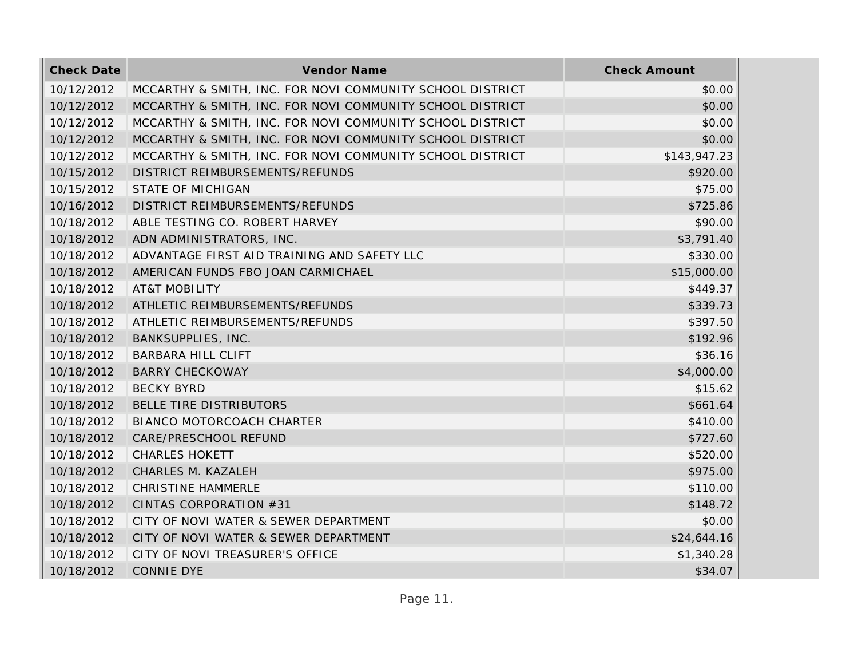| <b>Check Date</b> | Vendor Name                                               | <b>Check Amount</b> |
|-------------------|-----------------------------------------------------------|---------------------|
| 10/12/2012        | MCCARTHY & SMITH, INC. FOR NOVI COMMUNITY SCHOOL DISTRICT | \$0.00              |
| 10/12/2012        | MCCARTHY & SMITH, INC. FOR NOVI COMMUNITY SCHOOL DISTRICT | \$0.00              |
| 10/12/2012        | MCCARTHY & SMITH, INC. FOR NOVI COMMUNITY SCHOOL DISTRICT | \$0.00              |
| 10/12/2012        | MCCARTHY & SMITH, INC. FOR NOVI COMMUNITY SCHOOL DISTRICT | \$0.00              |
| 10/12/2012        | MCCARTHY & SMITH, INC. FOR NOVI COMMUNITY SCHOOL DISTRICT | \$143,947.23        |
| 10/15/2012        | DISTRICT REIMBURSEMENTS/REFUNDS                           | \$920.00            |
| 10/15/2012        | <b>STATE OF MICHIGAN</b>                                  | \$75.00             |
| 10/16/2012        | DISTRICT REIMBURSEMENTS/REFUNDS                           | \$725.86            |
| 10/18/2012        | ABLE TESTING CO. ROBERT HARVEY                            | \$90.00             |
| 10/18/2012        | ADN ADMINISTRATORS, INC.                                  | \$3,791.40          |
| 10/18/2012        | ADVANTAGE FIRST AID TRAINING AND SAFETY LLC               | \$330.00            |
| 10/18/2012        | AMERICAN FUNDS FBO JOAN CARMICHAEL                        | \$15,000.00         |
| 10/18/2012        | <b>AT&amp;T MOBILITY</b>                                  | \$449.37            |
| 10/18/2012        | ATHLETIC REIMBURSEMENTS/REFUNDS                           | \$339.73            |
| 10/18/2012        | ATHLETIC REIMBURSEMENTS/REFUNDS                           | \$397.50            |
| 10/18/2012        | BANKSUPPLIES, INC.                                        | \$192.96            |
| 10/18/2012        | <b>BARBARA HILL CLIFT</b>                                 | \$36.16             |
| 10/18/2012        | <b>BARRY CHECKOWAY</b>                                    | \$4,000.00          |
| 10/18/2012        | <b>BECKY BYRD</b>                                         | \$15.62             |
| 10/18/2012        | BELLE TIRE DISTRIBUTORS                                   | \$661.64            |
| 10/18/2012        | BIANCO MOTORCOACH CHARTER                                 | \$410.00            |
| 10/18/2012        | CARE/PRESCHOOL REFUND                                     | \$727.60            |
| 10/18/2012        | <b>CHARLES HOKETT</b>                                     | \$520.00            |
| 10/18/2012        | CHARLES M. KAZALEH                                        | \$975.00            |
| 10/18/2012        | <b>CHRISTINE HAMMERLE</b>                                 | \$110.00            |
| 10/18/2012        | CINTAS CORPORATION #31                                    | \$148.72            |
| 10/18/2012        | CITY OF NOVI WATER & SEWER DEPARTMENT                     | \$0.00              |
| 10/18/2012        | CITY OF NOVI WATER & SEWER DEPARTMENT                     | \$24,644.16         |
| 10/18/2012        | CITY OF NOVI TREASURER'S OFFICE                           | \$1,340.28          |
| 10/18/2012        | <b>CONNIE DYE</b>                                         | \$34.07             |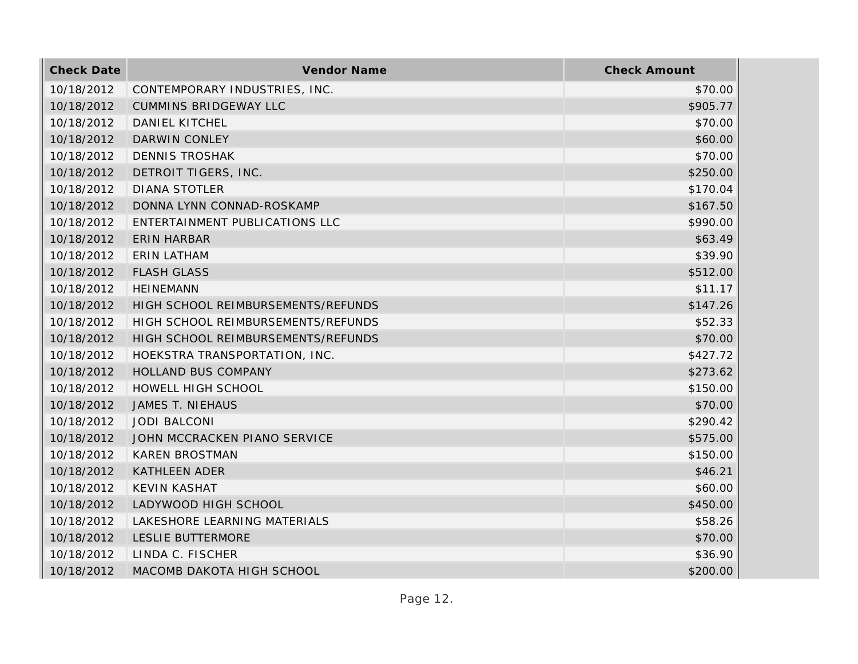| <b>Check Date</b> | Vendor Name                        | <b>Check Amount</b> |
|-------------------|------------------------------------|---------------------|
| 10/18/2012        | CONTEMPORARY INDUSTRIES, INC.      | \$70.00             |
| 10/18/2012        | <b>CUMMINS BRIDGEWAY LLC</b>       | \$905.77            |
| 10/18/2012        | DANIEL KITCHEL                     | \$70.00             |
| 10/18/2012        | <b>DARWIN CONLEY</b>               | \$60.00             |
| 10/18/2012        | <b>DENNIS TROSHAK</b>              | \$70.00             |
| 10/18/2012        | DETROIT TIGERS, INC.               | \$250.00            |
| 10/18/2012        | <b>DIANA STOTLER</b>               | \$170.04            |
| 10/18/2012        | DONNA LYNN CONNAD-ROSKAMP          | \$167.50            |
| 10/18/2012        | ENTERTAINMENT PUBLICATIONS LLC     | \$990.00            |
| 10/18/2012        | <b>ERIN HARBAR</b>                 | \$63.49             |
| 10/18/2012        | ERIN LATHAM                        | \$39.90             |
| 10/18/2012        | <b>FLASH GLASS</b>                 | \$512.00            |
| 10/18/2012        | <b>HEINEMANN</b>                   | \$11.17             |
| 10/18/2012        | HIGH SCHOOL REIMBURSEMENTS/REFUNDS | \$147.26            |
| 10/18/2012        | HIGH SCHOOL REIMBURSEMENTS/REFUNDS | \$52.33             |
| 10/18/2012        | HIGH SCHOOL REIMBURSEMENTS/REFUNDS | \$70.00             |
| 10/18/2012        | HOEKSTRA TRANSPORTATION, INC.      | \$427.72            |
| 10/18/2012        | HOLLAND BUS COMPANY                | \$273.62            |
| 10/18/2012        | HOWELL HIGH SCHOOL                 | \$150.00            |
| 10/18/2012        | JAMES T. NIEHAUS                   | \$70.00             |
| 10/18/2012        | <b>JODI BALCONI</b>                | \$290.42            |
| 10/18/2012        | JOHN MCCRACKEN PIANO SERVICE       | \$575.00            |
| 10/18/2012        | <b>KAREN BROSTMAN</b>              | \$150.00            |
| 10/18/2012        | <b>KATHLEEN ADER</b>               | \$46.21             |
| 10/18/2012        | <b>KEVIN KASHAT</b>                | \$60.00             |
| 10/18/2012        | LADYWOOD HIGH SCHOOL               | \$450.00            |
| 10/18/2012        | LAKESHORE LEARNING MATERIALS       | \$58.26             |
| 10/18/2012        | LESLIE BUTTERMORE                  | \$70.00             |
| 10/18/2012        | LINDA C. FISCHER                   | \$36.90             |
| 10/18/2012        | MACOMB DAKOTA HIGH SCHOOL          | \$200.00            |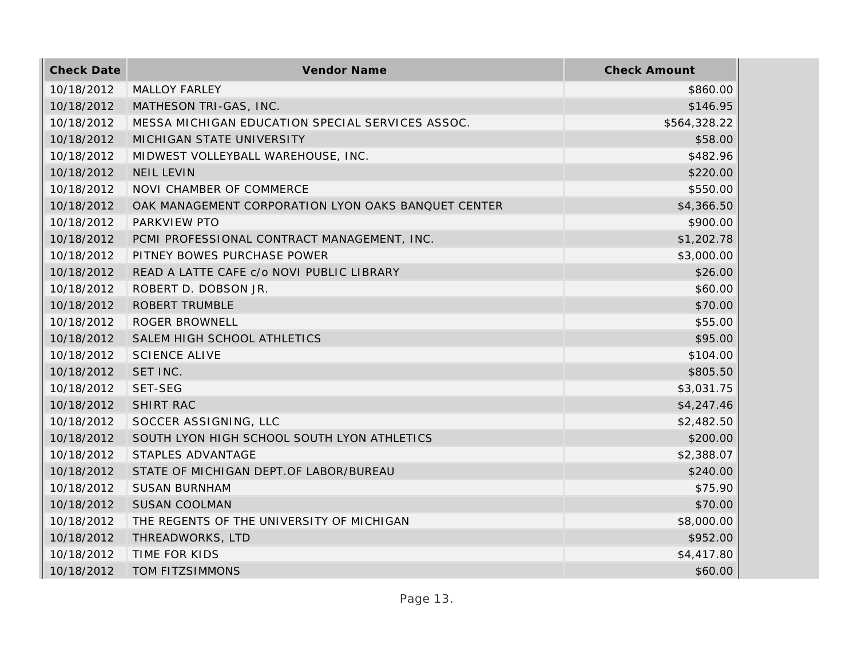| <b>Check Date</b> | Vendor Name                                         | <b>Check Amount</b> |
|-------------------|-----------------------------------------------------|---------------------|
| 10/18/2012        | MALLOY FARLEY                                       | \$860.00            |
| 10/18/2012        | MATHESON TRI-GAS, INC.                              | \$146.95            |
| 10/18/2012        | MESSA MICHIGAN EDUCATION SPECIAL SERVICES ASSOC.    | \$564,328.22        |
| 10/18/2012        | MICHIGAN STATE UNIVERSITY                           | \$58.00             |
| 10/18/2012        | MIDWEST VOLLEYBALL WAREHOUSE, INC.                  | \$482.96            |
| 10/18/2012        | <b>NEIL LEVIN</b>                                   | \$220.00            |
| 10/18/2012        | NOVI CHAMBER OF COMMERCE                            | \$550.00            |
| 10/18/2012        | OAK MANAGEMENT CORPORATION LYON OAKS BANQUET CENTER | \$4,366.50          |
| 10/18/2012        | PARKVIEW PTO                                        | \$900.00            |
| 10/18/2012        | PCMI PROFESSIONAL CONTRACT MANAGEMENT, INC.         | \$1,202.78          |
| 10/18/2012        | PITNEY BOWES PURCHASE POWER                         | \$3,000.00          |
| 10/18/2012        | READ A LATTE CAFE c/o NOVI PUBLIC LIBRARY           | \$26.00             |
| 10/18/2012        | ROBERT D. DOBSON JR.                                | \$60.00             |
| 10/18/2012        | <b>ROBERT TRUMBLE</b>                               | \$70.00             |
| 10/18/2012        | <b>ROGER BROWNELL</b>                               | \$55.00             |
| 10/18/2012        | SALEM HIGH SCHOOL ATHLETICS                         | \$95.00             |
| 10/18/2012        | <b>SCIENCE ALIVE</b>                                | \$104.00            |
| 10/18/2012        | SET INC.                                            | \$805.50            |
| 10/18/2012        | SET-SEG                                             | \$3,031.75          |
| 10/18/2012        | SHIRT RAC                                           | \$4,247.46          |
| 10/18/2012        | SOCCER ASSIGNING, LLC                               | \$2,482.50          |
| 10/18/2012        | SOUTH LYON HIGH SCHOOL SOUTH LYON ATHLETICS         | \$200.00            |
| 10/18/2012        | STAPLES ADVANTAGE                                   | \$2,388.07          |
| 10/18/2012        | STATE OF MICHIGAN DEPT. OF LABOR/BUREAU             | \$240.00            |
| 10/18/2012        | <b>SUSAN BURNHAM</b>                                | \$75.90             |
| 10/18/2012        | <b>SUSAN COOLMAN</b>                                | \$70.00             |
| 10/18/2012        | THE REGENTS OF THE UNIVERSITY OF MICHIGAN           | \$8,000.00          |
| 10/18/2012        | THREADWORKS, LTD                                    | \$952.00            |
| 10/18/2012        | TIME FOR KIDS                                       | \$4,417.80          |
| 10/18/2012        | TOM FITZSIMMONS                                     | \$60.00             |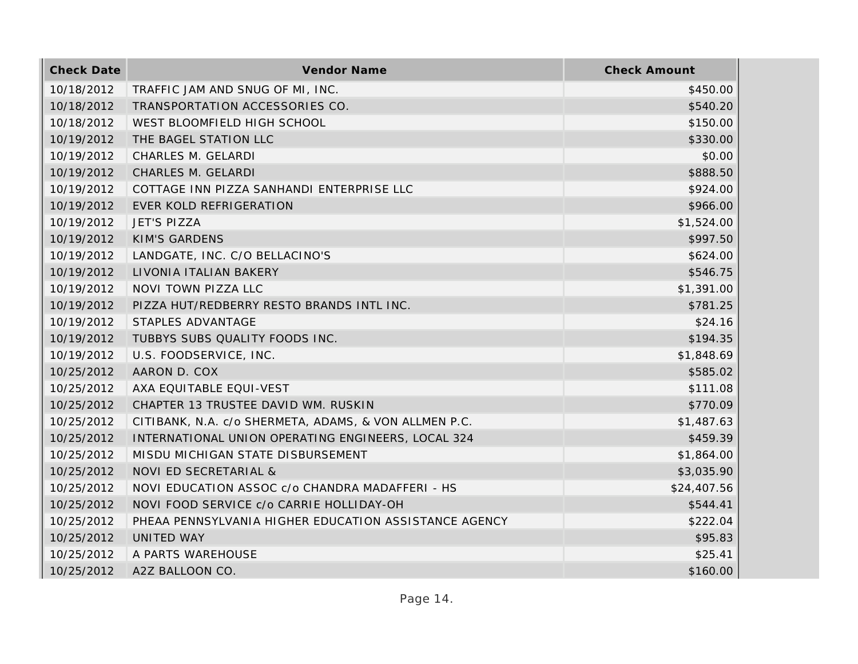| <b>Check Date</b> | Vendor Name                                           | <b>Check Amount</b> |
|-------------------|-------------------------------------------------------|---------------------|
| 10/18/2012        | TRAFFIC JAM AND SNUG OF MI, INC.                      | \$450.00            |
| 10/18/2012        | TRANSPORTATION ACCESSORIES CO.                        | \$540.20            |
| 10/18/2012        | WEST BLOOMFIELD HIGH SCHOOL                           | \$150.00            |
| 10/19/2012        | THE BAGEL STATION LLC                                 | \$330.00            |
| 10/19/2012        | CHARLES M. GELARDI                                    | \$0.00              |
| 10/19/2012        | CHARLES M. GELARDI                                    | \$888.50            |
| 10/19/2012        | COTTAGE INN PIZZA SANHANDI ENTERPRISE LLC             | \$924.00            |
| 10/19/2012        | EVER KOLD REFRIGERATION                               | \$966.00            |
| 10/19/2012        | JET'S PIZZA                                           | \$1,524.00          |
| 10/19/2012        | <b>KIM'S GARDENS</b>                                  | \$997.50            |
| 10/19/2012        | LANDGATE, INC. C/O BELLACINO'S                        | \$624.00            |
| 10/19/2012        | LIVONIA ITALIAN BAKERY                                | \$546.75            |
| 10/19/2012        | NOVI TOWN PIZZA LLC                                   | \$1,391.00          |
| 10/19/2012        | PIZZA HUT/REDBERRY RESTO BRANDS INTL INC.             | \$781.25            |
| 10/19/2012        | STAPLES ADVANTAGE                                     | \$24.16             |
| 10/19/2012        | TUBBYS SUBS QUALITY FOODS INC.                        | \$194.35            |
| 10/19/2012        | U.S. FOODSERVICE, INC.                                | \$1,848.69          |
| 10/25/2012        | AARON D. COX                                          | \$585.02            |
| 10/25/2012        | AXA EQUITABLE EQUI-VEST                               | \$111.08            |
| 10/25/2012        | CHAPTER 13 TRUSTEE DAVID WM. RUSKIN                   | \$770.09            |
| 10/25/2012        | CITIBANK, N.A. c/o SHERMETA, ADAMS, & VON ALLMEN P.C. | \$1,487.63          |
| 10/25/2012        | INTERNATIONAL UNION OPERATING ENGINEERS, LOCAL 324    | \$459.39            |
| 10/25/2012        | MISDU MICHIGAN STATE DISBURSEMENT                     | \$1,864.00          |
| 10/25/2012        | NOVI ED SECRETARIAL &                                 | \$3,035.90          |
| 10/25/2012        | NOVI EDUCATION ASSOC c/o CHANDRA MADAFFERI - HS       | \$24,407.56         |
| 10/25/2012        | NOVI FOOD SERVICE c/o CARRIE HOLLIDAY-OH              | \$544.41            |
| 10/25/2012        | PHEAA PENNSYLVANIA HIGHER EDUCATION ASSISTANCE AGENCY | \$222.04            |
| 10/25/2012        | UNITED WAY                                            | \$95.83             |
| 10/25/2012        | A PARTS WAREHOUSE                                     | \$25.41             |
| 10/25/2012        | A2Z BALLOON CO.                                       | \$160.00            |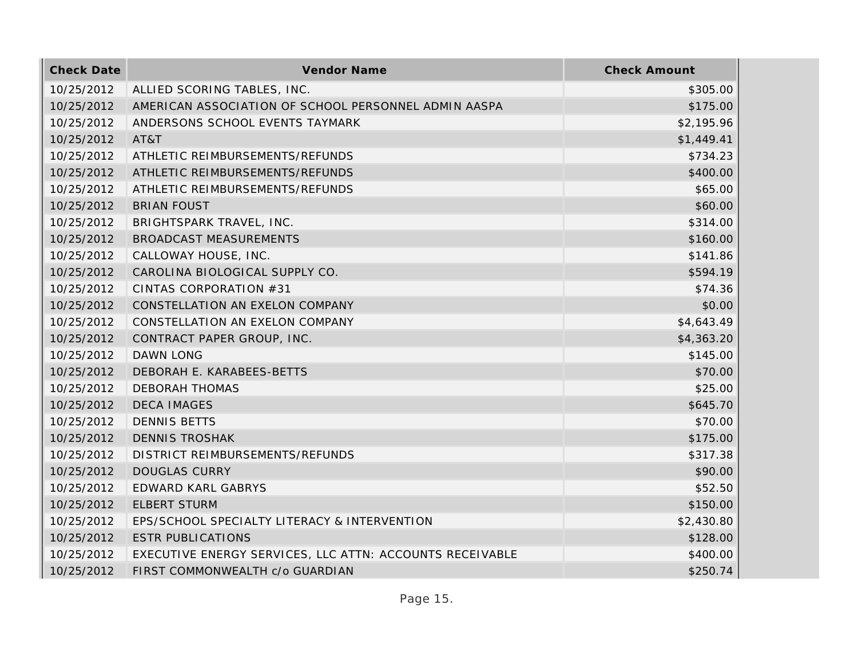| <b>Check Date</b> | Vendor Name                                              | <b>Check Amount</b> |
|-------------------|----------------------------------------------------------|---------------------|
| 10/25/2012        | ALLIED SCORING TABLES, INC.                              | \$305.00            |
| 10/25/2012        | AMERICAN ASSOCIATION OF SCHOOL PERSONNEL ADMIN AASPA     | \$175.00            |
| 10/25/2012        | ANDERSONS SCHOOL EVENTS TAYMARK                          | \$2,195.96          |
| 10/25/2012        | AT&T                                                     | \$1,449.41          |
| 10/25/2012        | ATHLETIC REIMBURSEMENTS/REFUNDS                          | \$734.23            |
| 10/25/2012        | ATHLETIC REIMBURSEMENTS/REFUNDS                          | \$400.00            |
| 10/25/2012        | ATHLETIC REIMBURSEMENTS/REFUNDS                          | \$65.00             |
| 10/25/2012        | <b>BRIAN FOUST</b>                                       | \$60.00             |
| 10/25/2012        | BRIGHTSPARK TRAVEL, INC.                                 | \$314.00            |
| 10/25/2012        | BROADCAST MEASUREMENTS                                   | \$160.00            |
| 10/25/2012        | CALLOWAY HOUSE, INC.                                     | \$141.86            |
| 10/25/2012        | CAROLINA BIOLOGICAL SUPPLY CO.                           | \$594.19            |
| 10/25/2012        | CINTAS CORPORATION #31                                   | \$74.36             |
| 10/25/2012        | CONSTELLATION AN EXELON COMPANY                          | \$0.00              |
| 10/25/2012        | CONSTELLATION AN EXELON COMPANY                          | \$4,643.49          |
| 10/25/2012        | CONTRACT PAPER GROUP, INC.                               | \$4,363.20          |
| 10/25/2012        | <b>DAWN LONG</b>                                         | \$145.00            |
| 10/25/2012        | DEBORAH E. KARABEES-BETTS                                | \$70.00             |
| 10/25/2012        | <b>DEBORAH THOMAS</b>                                    | \$25.00             |
| 10/25/2012        | <b>DECA IMAGES</b>                                       | \$645.70            |
| 10/25/2012        | <b>DENNIS BETTS</b>                                      | \$70.00             |
| 10/25/2012        | <b>DENNIS TROSHAK</b>                                    | \$175.00            |
| 10/25/2012        | DISTRICT REIMBURSEMENTS/REFUNDS                          | \$317.38            |
| 10/25/2012        | <b>DOUGLAS CURRY</b>                                     | \$90.00             |
| 10/25/2012        | EDWARD KARL GABRYS                                       | \$52.50             |
| 10/25/2012        | <b>ELBERT STURM</b>                                      | \$150.00            |
| 10/25/2012        | EPS/SCHOOL SPECIALTY LITERACY & INTERVENTION             | \$2,430.80          |
| 10/25/2012        | <b>ESTR PUBLICATIONS</b>                                 | \$128.00            |
| 10/25/2012        | EXECUTIVE ENERGY SERVICES, LLC ATTN: ACCOUNTS RECEIVABLE | \$400.00            |
| 10/25/2012        | FIRST COMMONWEALTH c/o GUARDIAN                          | \$250.74            |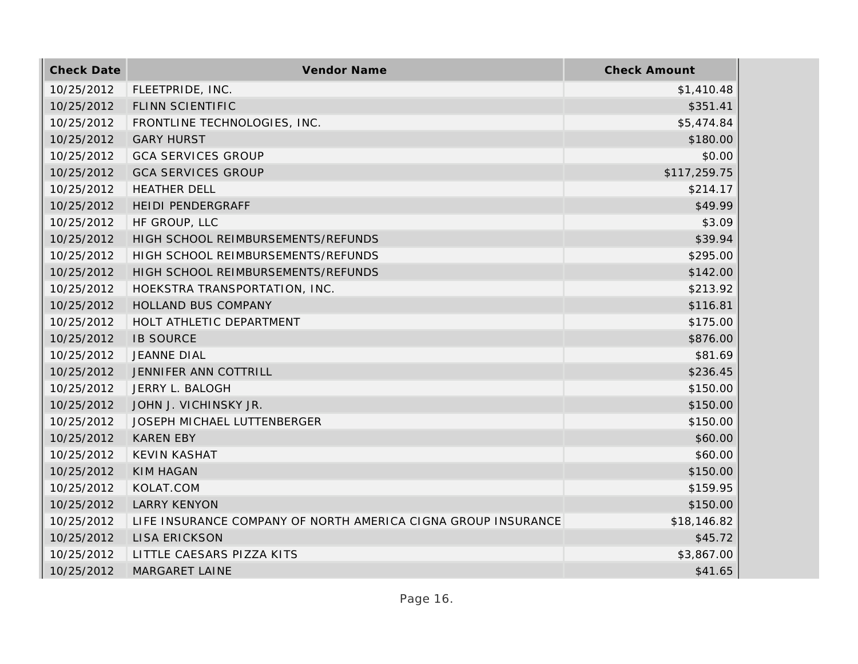| <b>Check Date</b> | Vendor Name                                                   | <b>Check Amount</b> |
|-------------------|---------------------------------------------------------------|---------------------|
| 10/25/2012        | FLEETPRIDE, INC.                                              | \$1,410.48          |
| 10/25/2012        | FLINN SCIENTIFIC                                              | \$351.41            |
| 10/25/2012        | FRONTLINE TECHNOLOGIES, INC.                                  | \$5,474.84          |
| 10/25/2012        | <b>GARY HURST</b>                                             | \$180.00            |
| 10/25/2012        | <b>GCA SERVICES GROUP</b>                                     | \$0.00              |
| 10/25/2012        | <b>GCA SERVICES GROUP</b>                                     | \$117,259.75        |
| 10/25/2012        | <b>HEATHER DELL</b>                                           | \$214.17            |
| 10/25/2012        | HEIDI PENDERGRAFF                                             | \$49.99             |
| 10/25/2012        | HF GROUP, LLC                                                 | \$3.09              |
| 10/25/2012        | HIGH SCHOOL REIMBURSEMENTS/REFUNDS                            | \$39.94             |
| 10/25/2012        | HIGH SCHOOL REIMBURSEMENTS/REFUNDS                            | \$295.00            |
| 10/25/2012        | HIGH SCHOOL REIMBURSEMENTS/REFUNDS                            | \$142.00            |
| 10/25/2012        | HOEKSTRA TRANSPORTATION, INC.                                 | \$213.92            |
| 10/25/2012        | HOLLAND BUS COMPANY                                           | \$116.81            |
| 10/25/2012        | HOLT ATHLETIC DEPARTMENT                                      | \$175.00            |
| 10/25/2012        | <b>IB SOURCE</b>                                              | \$876.00            |
| 10/25/2012        | <b>JEANNE DIAL</b>                                            | \$81.69             |
| 10/25/2012        | JENNIFER ANN COTTRILL                                         | \$236.45            |
| 10/25/2012        | JERRY L. BALOGH                                               | \$150.00            |
| 10/25/2012        | JOHN J. VICHINSKY JR.                                         | \$150.00            |
| 10/25/2012        | <b>JOSEPH MICHAEL LUTTENBERGER</b>                            | \$150.00            |
| 10/25/2012        | <b>KAREN EBY</b>                                              | \$60.00             |
| 10/25/2012        | <b>KEVIN KASHAT</b>                                           | \$60.00             |
| 10/25/2012        | <b>KIM HAGAN</b>                                              | \$150.00            |
| 10/25/2012        | KOLAT.COM                                                     | \$159.95            |
| 10/25/2012        | <b>LARRY KENYON</b>                                           | \$150.00            |
| 10/25/2012        | LIFE INSURANCE COMPANY OF NORTH AMERICA CIGNA GROUP INSURANCE | \$18,146.82         |
| 10/25/2012        | <b>LISA ERICKSON</b>                                          | \$45.72             |
| 10/25/2012        | LITTLE CAESARS PIZZA KITS                                     | \$3,867.00          |
| 10/25/2012        | <b>MARGARET LAINE</b>                                         | \$41.65             |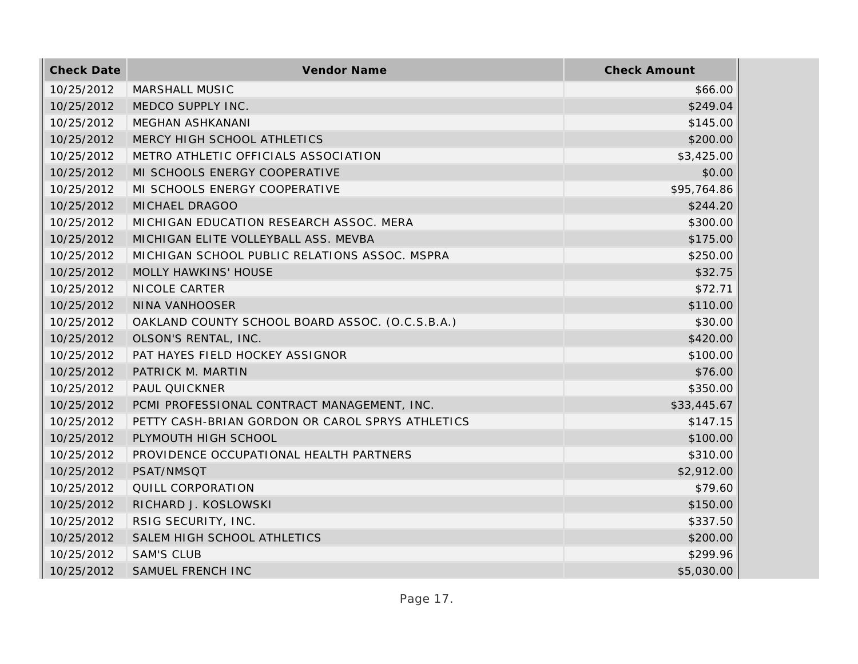| <b>Check Date</b> | Vendor Name                                      | <b>Check Amount</b> |
|-------------------|--------------------------------------------------|---------------------|
| 10/25/2012        | MARSHALL MUSIC                                   | \$66.00             |
| 10/25/2012        | MEDCO SUPPLY INC.                                | \$249.04            |
| 10/25/2012        | <b>MEGHAN ASHKANANI</b>                          | \$145.00            |
| 10/25/2012        | MERCY HIGH SCHOOL ATHLETICS                      | \$200.00            |
| 10/25/2012        | METRO ATHLETIC OFFICIALS ASSOCIATION             | \$3,425.00          |
| 10/25/2012        | MI SCHOOLS ENERGY COOPERATIVE                    | \$0.00              |
| 10/25/2012        | MI SCHOOLS ENERGY COOPERATIVE                    | \$95,764.86         |
| 10/25/2012        | MICHAEL DRAGOO                                   | \$244.20            |
| 10/25/2012        | MICHIGAN EDUCATION RESEARCH ASSOC. MERA          | \$300.00            |
| 10/25/2012        | MICHIGAN ELITE VOLLEYBALL ASS. MEVBA             | \$175.00            |
| 10/25/2012        | MICHIGAN SCHOOL PUBLIC RELATIONS ASSOC. MSPRA    | \$250.00            |
| 10/25/2012        | MOLLY HAWKINS' HOUSE                             | \$32.75             |
| 10/25/2012        | NICOLE CARTER                                    | \$72.71             |
| 10/25/2012        | NINA VANHOOSER                                   | \$110.00            |
| 10/25/2012        | OAKLAND COUNTY SCHOOL BOARD ASSOC. (O.C.S.B.A.)  | \$30.00             |
| 10/25/2012        | OLSON'S RENTAL, INC.                             | \$420.00            |
| 10/25/2012        | PAT HAYES FIELD HOCKEY ASSIGNOR                  | \$100.00            |
| 10/25/2012        | PATRICK M. MARTIN                                | \$76.00             |
| 10/25/2012        | PAUL QUICKNER                                    | \$350.00            |
| 10/25/2012        | PCMI PROFESSIONAL CONTRACT MANAGEMENT, INC.      | \$33,445.67         |
| 10/25/2012        | PETTY CASH-BRIAN GORDON OR CAROL SPRYS ATHLETICS | \$147.15            |
| 10/25/2012        | PLYMOUTH HIGH SCHOOL                             | \$100.00            |
| 10/25/2012        | PROVIDENCE OCCUPATIONAL HEALTH PARTNERS          | \$310.00            |
| 10/25/2012        | PSAT/NMSQT                                       | \$2,912.00          |
| 10/25/2012        | QUILL CORPORATION                                | \$79.60             |
| 10/25/2012        | RICHARD J. KOSLOWSKI                             | \$150.00            |
| 10/25/2012        | RSIG SECURITY, INC.                              | \$337.50            |
| 10/25/2012        | SALEM HIGH SCHOOL ATHLETICS                      | \$200.00            |
| 10/25/2012        | <b>SAM'S CLUB</b>                                | \$299.96            |
| 10/25/2012        | SAMUEL FRENCH INC                                | \$5,030.00          |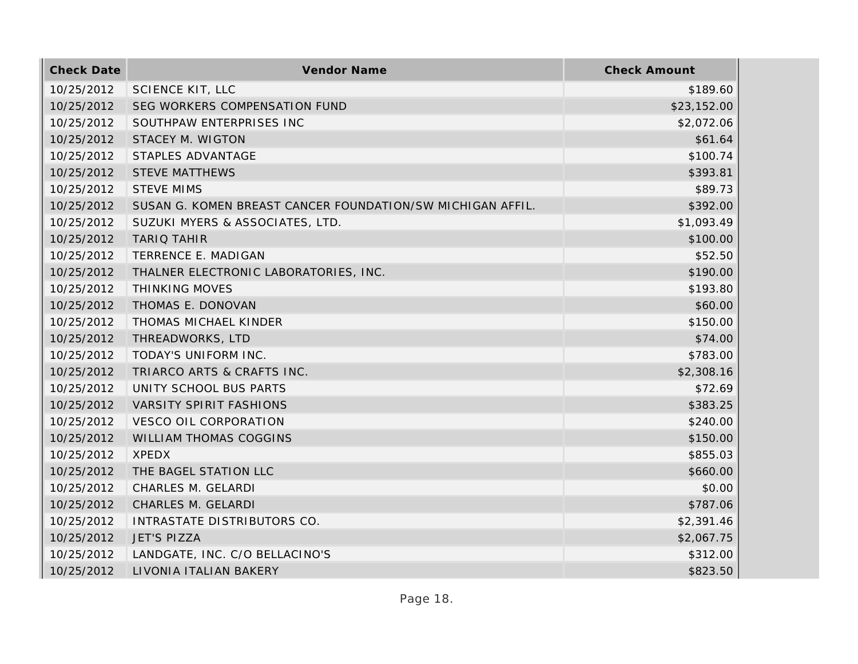| <b>Check Date</b> | Vendor Name                                                | <b>Check Amount</b> |
|-------------------|------------------------------------------------------------|---------------------|
| 10/25/2012        | <b>SCIENCE KIT, LLC</b>                                    | \$189.60            |
| 10/25/2012        | SEG WORKERS COMPENSATION FUND                              | \$23,152.00         |
| 10/25/2012        | SOUTHPAW ENTERPRISES INC                                   | \$2,072.06          |
| 10/25/2012        | <b>STACEY M. WIGTON</b>                                    | \$61.64             |
| 10/25/2012        | STAPLES ADVANTAGE                                          | \$100.74            |
| 10/25/2012        | <b>STEVE MATTHEWS</b>                                      | \$393.81            |
| 10/25/2012        | <b>STEVE MIMS</b>                                          | \$89.73             |
| 10/25/2012        | SUSAN G. KOMEN BREAST CANCER FOUNDATION/SW MICHIGAN AFFIL. | \$392.00            |
| 10/25/2012        | SUZUKI MYERS & ASSOCIATES, LTD.                            | \$1,093.49          |
| 10/25/2012        | <b>TARIQ TAHIR</b>                                         | \$100.00            |
| 10/25/2012        | TERRENCE E. MADIGAN                                        | \$52.50             |
| 10/25/2012        | THALNER ELECTRONIC LABORATORIES, INC.                      | \$190.00            |
| 10/25/2012        | <b>THINKING MOVES</b>                                      | \$193.80            |
| 10/25/2012        | THOMAS E. DONOVAN                                          | \$60.00             |
| 10/25/2012        | THOMAS MICHAEL KINDER                                      | \$150.00            |
| 10/25/2012        | THREADWORKS, LTD                                           | \$74.00             |
| 10/25/2012        | TODAY'S UNIFORM INC.                                       | \$783.00            |
| 10/25/2012        | TRIARCO ARTS & CRAFTS INC.                                 | \$2,308.16          |
| 10/25/2012        | UNITY SCHOOL BUS PARTS                                     | \$72.69             |
| 10/25/2012        | <b>VARSITY SPIRIT FASHIONS</b>                             | \$383.25            |
| 10/25/2012        | <b>VESCO OIL CORPORATION</b>                               | \$240.00            |
| 10/25/2012        | WILLIAM THOMAS COGGINS                                     | \$150.00            |
| 10/25/2012        | <b>XPEDX</b>                                               | \$855.03            |
| 10/25/2012        | THE BAGEL STATION LLC                                      | \$660.00            |
| 10/25/2012        | CHARLES M. GELARDI                                         | \$0.00              |
| 10/25/2012        | CHARLES M. GELARDI                                         | \$787.06            |
| 10/25/2012        | INTRASTATE DISTRIBUTORS CO.                                | \$2,391.46          |
| 10/25/2012        | <b>JET'S PIZZA</b>                                         | \$2,067.75          |
| 10/25/2012        | LANDGATE, INC. C/O BELLACINO'S                             | \$312.00            |
| 10/25/2012        | LIVONIA ITALIAN BAKERY                                     | \$823.50            |